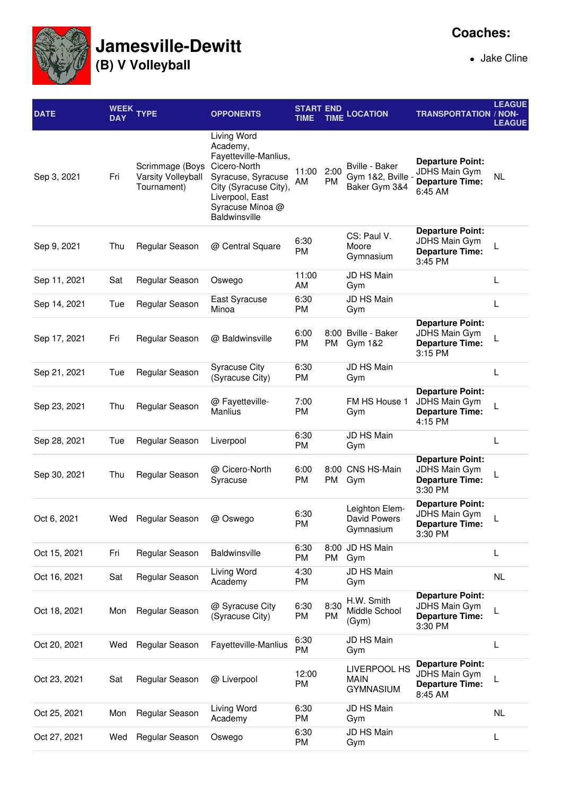

## **Jamesville-Dewitt**

**(B) V Volleyball**

Jake Cline

| <b>DATE</b>  | <b>DAY</b> | WEEK TYPE                                            | <b>OPPONENTS</b>                                                                                                                                                        | <b>START END</b><br>TIME | <b>TIME</b> | <b>LOCATION</b>                                           | <b>TRANSPORTATION / NON-</b>                                                         | <b>LEAGUE</b><br><b>LEAGUE</b> |
|--------------|------------|------------------------------------------------------|-------------------------------------------------------------------------------------------------------------------------------------------------------------------------|--------------------------|-------------|-----------------------------------------------------------|--------------------------------------------------------------------------------------|--------------------------------|
| Sep 3, 2021  | Fri        | Scrimmage (Boys<br>Varsity Volleyball<br>Tournament) | Living Word<br>Academy,<br>Fayetteville-Manlius,<br>Cicero-North<br>Syracuse, Syracuse<br>City (Syracuse City),<br>Liverpool, East<br>Syracuse Minoa @<br>Baldwinsville | 11:00<br>ΑM              | 2:00<br>PM  | <b>Bville - Baker</b><br>Gym 1&2, Bville<br>Baker Gym 3&4 | <b>Departure Point:</b><br>JDHS Main Gym<br><b>Departure Time:</b><br>6:45 AM        | NL                             |
| Sep 9, 2021  | Thu        | Regular Season                                       | @ Central Square                                                                                                                                                        | 6:30<br><b>PM</b>        |             | CS: Paul V.<br>Moore<br>Gymnasium                         | <b>Departure Point:</b><br><b>JDHS Main Gym</b><br><b>Departure Time:</b><br>3:45 PM |                                |
| Sep 11, 2021 | Sat        | Regular Season                                       | Oswego                                                                                                                                                                  | 11:00<br>AM              |             | JD HS Main<br>Gym                                         |                                                                                      | L                              |
| Sep 14, 2021 | Tue        | Regular Season                                       | East Syracuse<br>Minoa                                                                                                                                                  | 6:30<br>PM               |             | JD HS Main<br>Gym                                         |                                                                                      | L                              |
| Sep 17, 2021 | Fri        | Regular Season                                       | @ Baldwinsville                                                                                                                                                         | 6:00<br><b>PM</b>        | РM          | 8:00 Bville - Baker<br>Gym 1&2                            | <b>Departure Point:</b><br><b>JDHS Main Gym</b><br><b>Departure Time:</b><br>3:15 PM |                                |
| Sep 21, 2021 | Tue        | Regular Season                                       | <b>Syracuse City</b><br>(Syracuse City)                                                                                                                                 | 6:30<br>PM               |             | JD HS Main<br>Gym                                         |                                                                                      | L                              |
| Sep 23, 2021 | Thu        | Regular Season                                       | @ Fayetteville-<br><b>Manlius</b>                                                                                                                                       | 7:00<br><b>PM</b>        |             | FM HS House 1<br>Gym                                      | <b>Departure Point:</b><br><b>JDHS Main Gym</b><br><b>Departure Time:</b><br>4:15 PM |                                |
| Sep 28, 2021 | Tue        | Regular Season                                       | Liverpool                                                                                                                                                               | 6:30<br>PM               |             | JD HS Main<br>Gym                                         |                                                                                      | L                              |
| Sep 30, 2021 | Thu        | Regular Season                                       | @ Cicero-North<br>Syracuse                                                                                                                                              | 6:00<br>PM               | PM          | 8:00 CNS HS-Main<br>Gym                                   | <b>Departure Point:</b><br><b>JDHS Main Gym</b><br><b>Departure Time:</b><br>3:30 PM |                                |
| Oct 6, 2021  | Wed        | Regular Season                                       | @ Oswego                                                                                                                                                                | 6:30<br>PM               |             | Leighton Elem-<br>David Powers<br>Gymnasium               | <b>Departure Point:</b><br>JDHS Main Gym<br><b>Departure Time:</b><br>3:30 PM        |                                |
| Oct 15, 2021 | Fri        | Regular Season                                       | Baldwinsville                                                                                                                                                           | 6:30<br>PM               | PM          | 8:00 JD HS Main<br>Gym                                    |                                                                                      | L                              |
| Oct 16, 2021 | Sat        | Regular Season                                       | Living Word<br>Academy                                                                                                                                                  | 4:30<br>PM               |             | JD HS Main<br>Gym                                         |                                                                                      | <b>NL</b>                      |
| Oct 18, 2021 | Mon        | Regular Season                                       | @ Syracuse City<br>(Syracuse City)                                                                                                                                      | 6:30<br>PM               | 8:30<br>PM  | H.W. Smith<br>Middle School<br>(Gym)                      | <b>Departure Point:</b><br>JDHS Main Gym<br><b>Departure Time:</b><br>3:30 PM        | L                              |
| Oct 20, 2021 | Wed        | Regular Season                                       | Fayetteville-Manlius                                                                                                                                                    | 6:30<br><b>PM</b>        |             | JD HS Main<br>Gym                                         |                                                                                      | L                              |
| Oct 23, 2021 | Sat        | Regular Season                                       | @ Liverpool                                                                                                                                                             | 12:00<br>PM              |             | LIVERPOOL HS<br><b>MAIN</b><br><b>GYMNASIUM</b>           | <b>Departure Point:</b><br>JDHS Main Gym<br><b>Departure Time:</b><br>8:45 AM        | L                              |
| Oct 25, 2021 | Mon        | Regular Season                                       | Living Word<br>Academy                                                                                                                                                  | 6:30<br>PM               |             | JD HS Main<br>Gym                                         |                                                                                      | NL                             |
| Oct 27, 2021 | Wed        | Regular Season                                       | Oswego                                                                                                                                                                  | 6:30<br>PM               |             | JD HS Main<br>Gym                                         |                                                                                      | L                              |